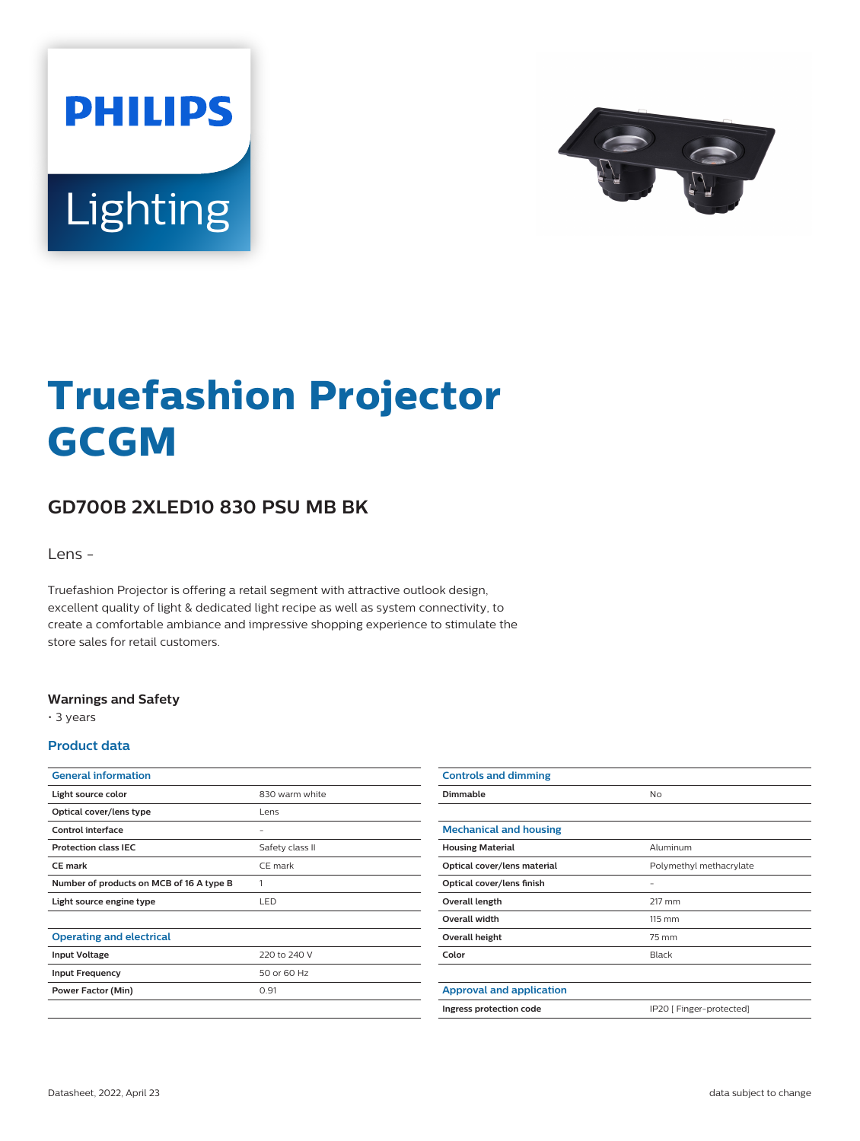



# **Truefashion Projector GCGM**

## **GD700B 2XLED10 830 PSU MB BK**

Lens -

Truefashion Projector is offering a retail segment with attractive outlook design, excellent quality of light & dedicated light recipe as well as system connectivity, to create a comfortable ambiance and impressive shopping experience to stimulate the store sales for retail customers.

#### **Warnings and Safety**

• 3 years

#### **Product data**

| <b>General information</b>               |                 |
|------------------------------------------|-----------------|
| Light source color                       | 830 warm white  |
| Optical cover/lens type                  | Lens            |
| Control interface                        | -               |
| <b>Protection class IEC</b>              | Safety class II |
| <b>CE</b> mark                           | CE mark         |
| Number of products on MCB of 16 A type B | 1               |
| Light source engine type                 | LED             |
|                                          |                 |
| <b>Operating and electrical</b>          |                 |
| <b>Input Voltage</b>                     | 220 to 240 V    |
| <b>Input Frequency</b>                   | 50 or 60 Hz     |
| Power Factor (Min)                       | 0.91            |
|                                          |                 |

| <b>Controls and dimming</b>     |                          |
|---------------------------------|--------------------------|
| Dimmable                        | <b>No</b>                |
|                                 |                          |
| <b>Mechanical and housing</b>   |                          |
| <b>Housing Material</b>         | Aluminum                 |
| Optical cover/lens material     | Polymethyl methacrylate  |
| Optical cover/lens finish       | -                        |
| Overall length                  | 217 mm                   |
| <b>Overall width</b>            | 115 mm                   |
| Overall height                  | 75 mm                    |
| Color                           | <b>Black</b>             |
|                                 |                          |
| <b>Approval and application</b> |                          |
| Ingress protection code         | IP20 [ Finger-protected] |
|                                 |                          |